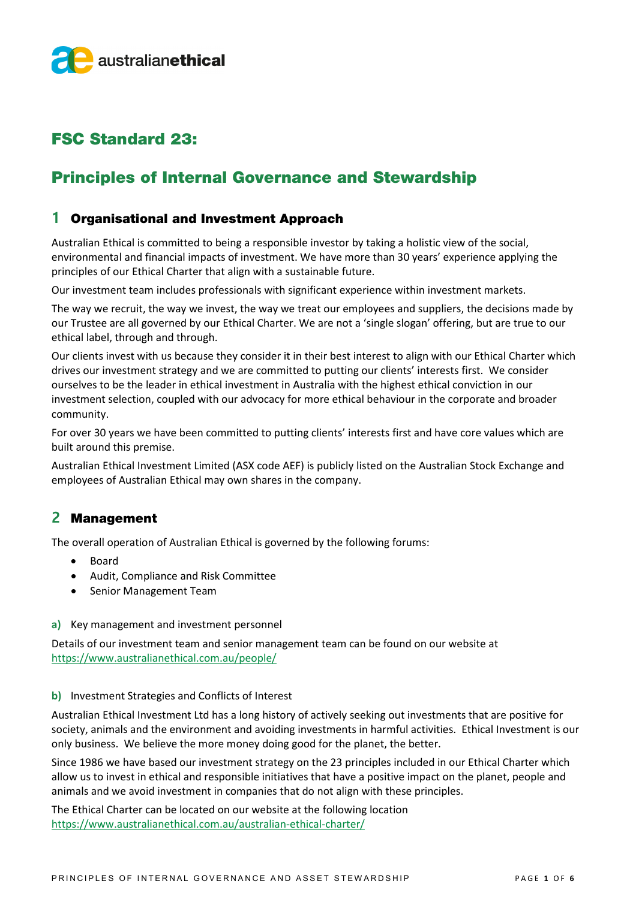

# FSC Standard 23:

# Principles of Internal Governance and Stewardship

### **1** Organisational and Investment Approach

Australian Ethical is committed to being a responsible investor by taking a holistic view of the social, environmental and financial impacts of investment. We have more than 30 years' experience applying the principles of our Ethical Charter that align with a sustainable future.

Our investment team includes professionals with significant experience within investment markets.

The way we recruit, the way we invest, the way we treat our employees and suppliers, the decisions made by our Trustee are all governed by our Ethical Charter. We are not a 'single slogan' offering, but are true to our ethical label, through and through.

Our clients invest with us because they consider it in their best interest to align with our Ethical Charter which drives our investment strategy and we are committed to putting our clients' interests first. We consider ourselves to be the leader in ethical investment in Australia with the highest ethical conviction in our investment selection, coupled with our advocacy for more ethical behaviour in the corporate and broader community.

For over 30 years we have been committed to putting clients' interests first and have core values which are built around this premise.

Australian Ethical Investment Limited (ASX code AEF) is publicly listed on the Australian Stock Exchange and employees of Australian Ethical may own shares in the company.

## **2** Management

The overall operation of Australian Ethical is governed by the following forums:

- Board
- Audit, Compliance and Risk Committee
- Senior Management Team
- **a)** Key management and investment personnel

Details of our investment team and senior management team can be found on our website at <https://www.australianethical.com.au/people/>

#### **b)** Investment Strategies and Conflicts of Interest

Australian Ethical Investment Ltd has a long history of actively seeking out investments that are positive for society, animals and the environment and avoiding investments in harmful activities. Ethical Investment is our only business. We believe the more money doing good for the planet, the better.

Since 1986 we have based our investment strategy on the 23 principles included in our Ethical Charter which allow us to invest in ethical and responsible initiatives that have a positive impact on the planet, people and animals and we avoid investment in companies that do not align with these principles.

The Ethical Charter can be located on our website at the following location <https://www.australianethical.com.au/australian-ethical-charter/>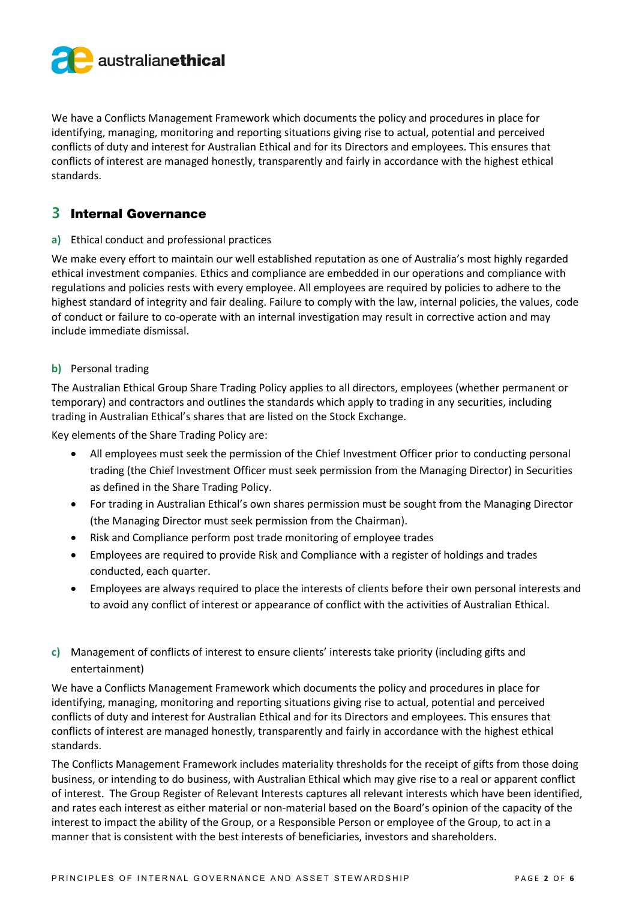

We have a Conflicts Management Framework which documents the policy and procedures in place for identifying, managing, monitoring and reporting situations giving rise to actual, potential and perceived conflicts of duty and interest for Australian Ethical and for its Directors and employees. This ensures that conflicts of interest are managed honestly, transparently and fairly in accordance with the highest ethical standards.

## **3** Internal Governance

#### **a)** Ethical conduct and professional practices

We make every effort to maintain our well established reputation as one of Australia's most highly regarded ethical investment companies. Ethics and compliance are embedded in our operations and compliance with regulations and policies rests with every employee. All employees are required by policies to adhere to the highest standard of integrity and fair dealing. Failure to comply with the law, internal policies, the values, code of conduct or failure to co-operate with an internal investigation may result in corrective action and may include immediate dismissal.

#### **b)** Personal trading

The Australian Ethical Group Share Trading Policy applies to all directors, employees (whether permanent or temporary) and contractors and outlines the standards which apply to trading in any securities, including trading in Australian Ethical's shares that are listed on the Stock Exchange.

Key elements of the Share Trading Policy are:

- All employees must seek the permission of the Chief Investment Officer prior to conducting personal trading (the Chief Investment Officer must seek permission from the Managing Director) in Securities as defined in the Share Trading Policy.
- For trading in Australian Ethical's own shares permission must be sought from the Managing Director (the Managing Director must seek permission from the Chairman).
- Risk and Compliance perform post trade monitoring of employee trades
- Employees are required to provide Risk and Compliance with a register of holdings and trades conducted, each quarter.
- Employees are always required to place the interests of clients before their own personal interests and to avoid any conflict of interest or appearance of conflict with the activities of Australian Ethical.
- **c)** Management of conflicts of interest to ensure clients' interests take priority (including gifts and entertainment)

We have a Conflicts Management Framework which documents the policy and procedures in place for identifying, managing, monitoring and reporting situations giving rise to actual, potential and perceived conflicts of duty and interest for Australian Ethical and for its Directors and employees. This ensures that conflicts of interest are managed honestly, transparently and fairly in accordance with the highest ethical standards.

The Conflicts Management Framework includes materiality thresholds for the receipt of gifts from those doing business, or intending to do business, with Australian Ethical which may give rise to a real or apparent conflict of interest. The Group Register of Relevant Interests captures all relevant interests which have been identified, and rates each interest as either material or non-material based on the Board's opinion of the capacity of the interest to impact the ability of the Group, or a Responsible Person or employee of the Group, to act in a manner that is consistent with the best interests of beneficiaries, investors and shareholders.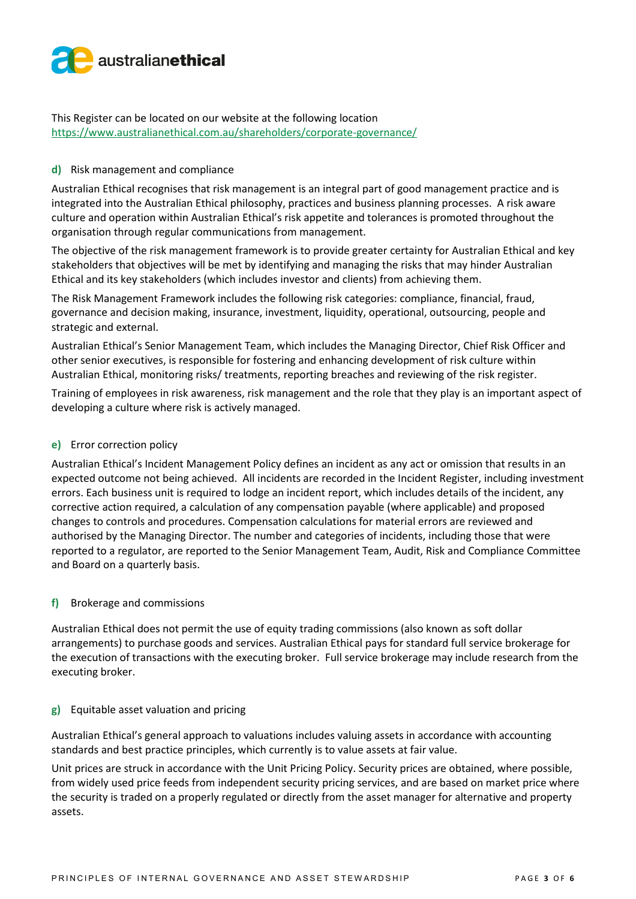

This Register can be located on our website at the following location https://www.australianethical.com.au/shareholders/corporate-governance/

#### **d)** Risk management and compliance

Australian Ethical recognises that risk management is an integral part of good management practice and is integrated into the Australian Ethical philosophy, practices and business planning processes. A risk aware culture and operation within Australian Ethical's risk appetite and tolerances is promoted throughout the organisation through regular communications from management.

The objective of the risk management framework is to provide greater certainty for Australian Ethical and key stakeholders that objectives will be met by identifying and managing the risks that may hinder Australian Ethical and its key stakeholders (which includes investor and clients) from achieving them.

The Risk Management Framework includes the following risk categories: compliance, financial, fraud, governance and decision making, insurance, investment, liquidity, operational, outsourcing, people and strategic and external.

Australian Ethical's Senior Management Team, which includes the Managing Director, Chief Risk Officer and other senior executives, is responsible for fostering and enhancing development of risk culture within Australian Ethical, monitoring risks/ treatments, reporting breaches and reviewing of the risk register.

Training of employees in risk awareness, risk management and the role that they play is an important aspect of developing a culture where risk is actively managed.

#### **e)** Error correction policy

Australian Ethical's Incident Management Policy defines an incident as any act or omission that results in an expected outcome not being achieved. All incidents are recorded in the Incident Register, including investment errors. Each business unit is required to lodge an incident report, which includes details of the incident, any corrective action required, a calculation of any compensation payable (where applicable) and proposed changes to controls and procedures. Compensation calculations for material errors are reviewed and authorised by the Managing Director. The number and categories of incidents, including those that were reported to a regulator, are reported to the Senior Management Team, Audit, Risk and Compliance Committee and Board on a quarterly basis.

#### **f)** Brokerage and commissions

Australian Ethical does not permit the use of equity trading commissions (also known as soft dollar arrangements) to purchase goods and services. Australian Ethical pays for standard full service brokerage for the execution of transactions with the executing broker. Full service brokerage may include research from the executing broker.

#### **g)** Equitable asset valuation and pricing

Australian Ethical's general approach to valuations includes valuing assets in accordance with accounting standards and best practice principles, which currently is to value assets at fair value.

Unit prices are struck in accordance with the Unit Pricing Policy. Security prices are obtained, where possible, from widely used price feeds from independent security pricing services, and are based on market price where the security is traded on a properly regulated or directly from the asset manager for alternative and property assets.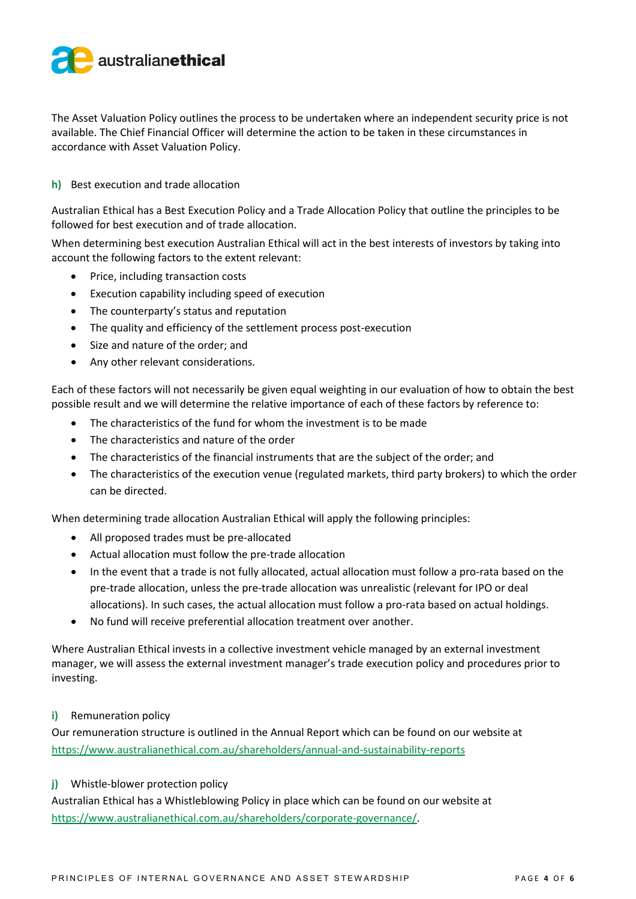

The Asset Valuation Policy outlines the process to be undertaken where an independent security price is not available. The Chief Financial Officer will determine the action to be taken in these circumstances in accordance with Asset Valuation Policy.

#### **h)** Best execution and trade allocation

Australian Ethical has a Best Execution Policy and a Trade Allocation Policy that outline the principles to be followed for best execution and of trade allocation.

When determining best execution Australian Ethical will act in the best interests of investors by taking into account the following factors to the extent relevant:

- Price, including transaction costs
- Execution capability including speed of execution
- The counterparty's status and reputation
- The quality and efficiency of the settlement process post-execution
- Size and nature of the order; and
- Any other relevant considerations.

Each of these factors will not necessarily be given equal weighting in our evaluation of how to obtain the best possible result and we will determine the relative importance of each of these factors by reference to:

- The characteristics of the fund for whom the investment is to be made
- The characteristics and nature of the order
- The characteristics of the financial instruments that are the subject of the order; and
- The characteristics of the execution venue (regulated markets, third party brokers) to which the order can be directed.

When determining trade allocation Australian Ethical will apply the following principles:

- All proposed trades must be pre-allocated
- Actual allocation must follow the pre-trade allocation
- In the event that a trade is not fully allocated, actual allocation must follow a pro-rata based on the pre-trade allocation, unless the pre-trade allocation was unrealistic (relevant for IPO or deal allocations). In such cases, the actual allocation must follow a pro-rata based on actual holdings.
- No fund will receive preferential allocation treatment over another.

Where Australian Ethical invests in a collective investment vehicle managed by an external investment manager, we will assess the external investment manager's trade execution policy and procedures prior to investing.

#### **i)** Remuneration policy

Our remuneration structure is outlined in the Annual Report which can be found on our website at [https://www.australianethical.com.au/shareholders/annual-and-sustainability-reports](https://www.australianethical.com.au/shareholders/annual-and-sustainability-reports/)

#### **j)** Whistle-blower protection policy

Australian Ethical has a Whistleblowing Policy in place which can be found on our website at [https://www.australianethical.com.au/shareholders/corporate-governance/.](https://www.australianethical.com.au/shareholders/corporate-governance/)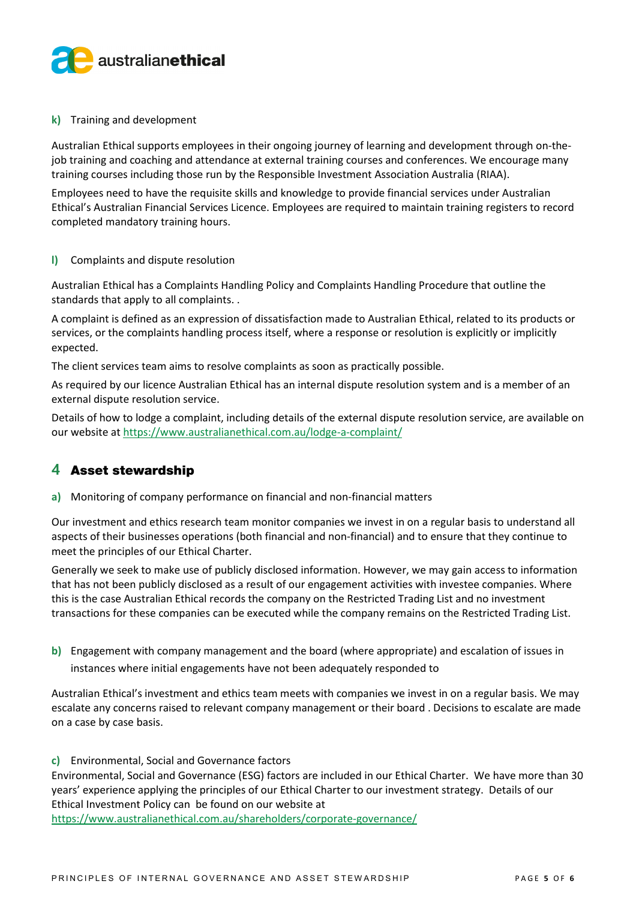

#### **k)** Training and development

Australian Ethical supports employees in their ongoing journey of learning and development through on-thejob training and coaching and attendance at external training courses and conferences. We encourage many training courses including those run by the Responsible Investment Association Australia (RIAA).

Employees need to have the requisite skills and knowledge to provide financial services under Australian Ethical's Australian Financial Services Licence. Employees are required to maintain training registers to record completed mandatory training hours.

#### **l)** Complaints and dispute resolution

Australian Ethical has a Complaints Handling Policy and Complaints Handling Procedure that outline the standards that apply to all complaints. .

A complaint is defined as an expression of dissatisfaction made to Australian Ethical, related to its products or services, or the complaints handling process itself, where a response or resolution is explicitly or implicitly expected.

The client services team aims to resolve complaints as soon as practically possible.

As required by our licence Australian Ethical has an internal dispute resolution system and is a member of an external dispute resolution service.

Details of how to lodge a complaint, including details of the external dispute resolution service, are available on our website at https://www.australianethical.com.au/lodge-a-complaint/

### **4** Asset stewardship

**a)** Monitoring of company performance on financial and non-financial matters

Our investment and ethics research team monitor companies we invest in on a regular basis to understand all aspects of their businesses operations (both financial and non-financial) and to ensure that they continue to meet the principles of our Ethical Charter.

Generally we seek to make use of publicly disclosed information. However, we may gain access to information that has not been publicly disclosed as a result of our engagement activities with investee companies. Where this is the case Australian Ethical records the company on the Restricted Trading List and no investment transactions for these companies can be executed while the company remains on the Restricted Trading List.

**b)** Engagement with company management and the board (where appropriate) and escalation of issues in instances where initial engagements have not been adequately responded to

Australian Ethical's investment and ethics team meets with companies we invest in on a regular basis. We may escalate any concerns raised to relevant company management or their board . Decisions to escalate are made on a case by case basis.

#### **c)** Environmental, Social and Governance factors

Environmental, Social and Governance (ESG) factors are included in our Ethical Charter. We have more than 30 years' experience applying the principles of our Ethical Charter to our investment strategy. Details of our Ethical Investment Policy can be found on our website at

<https://www.australianethical.com.au/shareholders/corporate-governance/>